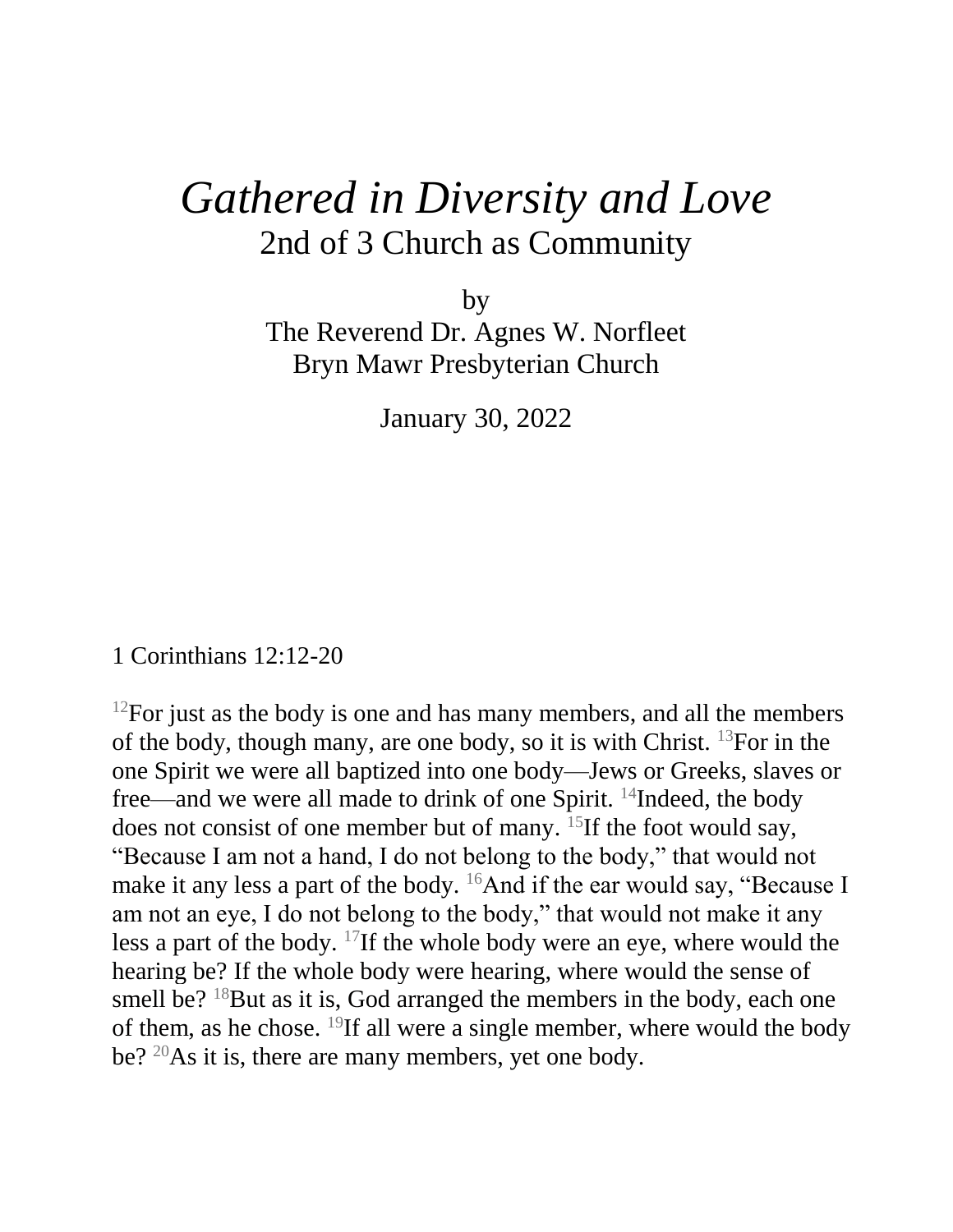## *Gathered in Diversity and Love* 2nd of 3 Church as Community

by The Reverend Dr. Agnes W. Norfleet Bryn Mawr Presbyterian Church

January 30, 2022

1 Corinthians 12:12-20

 $12$ For just as the body is one and has many members, and all the members of the body, though many, are one body, so it is with Christ. <sup>13</sup>For in the one Spirit we were all baptized into one body—Jews or Greeks, slaves or free—and we were all made to drink of one Spirit. <sup>14</sup>Indeed, the body does not consist of one member but of many. <sup>15</sup>If the foot would say, "Because I am not a hand, I do not belong to the body," that would not make it any less a part of the body.  $^{16}$ And if the ear would say, "Because I am not an eye, I do not belong to the body," that would not make it any less a part of the body. <sup>17</sup>If the whole body were an eye, where would the hearing be? If the whole body were hearing, where would the sense of smell be?  $18$ But as it is, God arranged the members in the body, each one of them, as he chose. <sup>19</sup>If all were a single member, where would the body be? <sup>20</sup>As it is, there are many members, yet one body.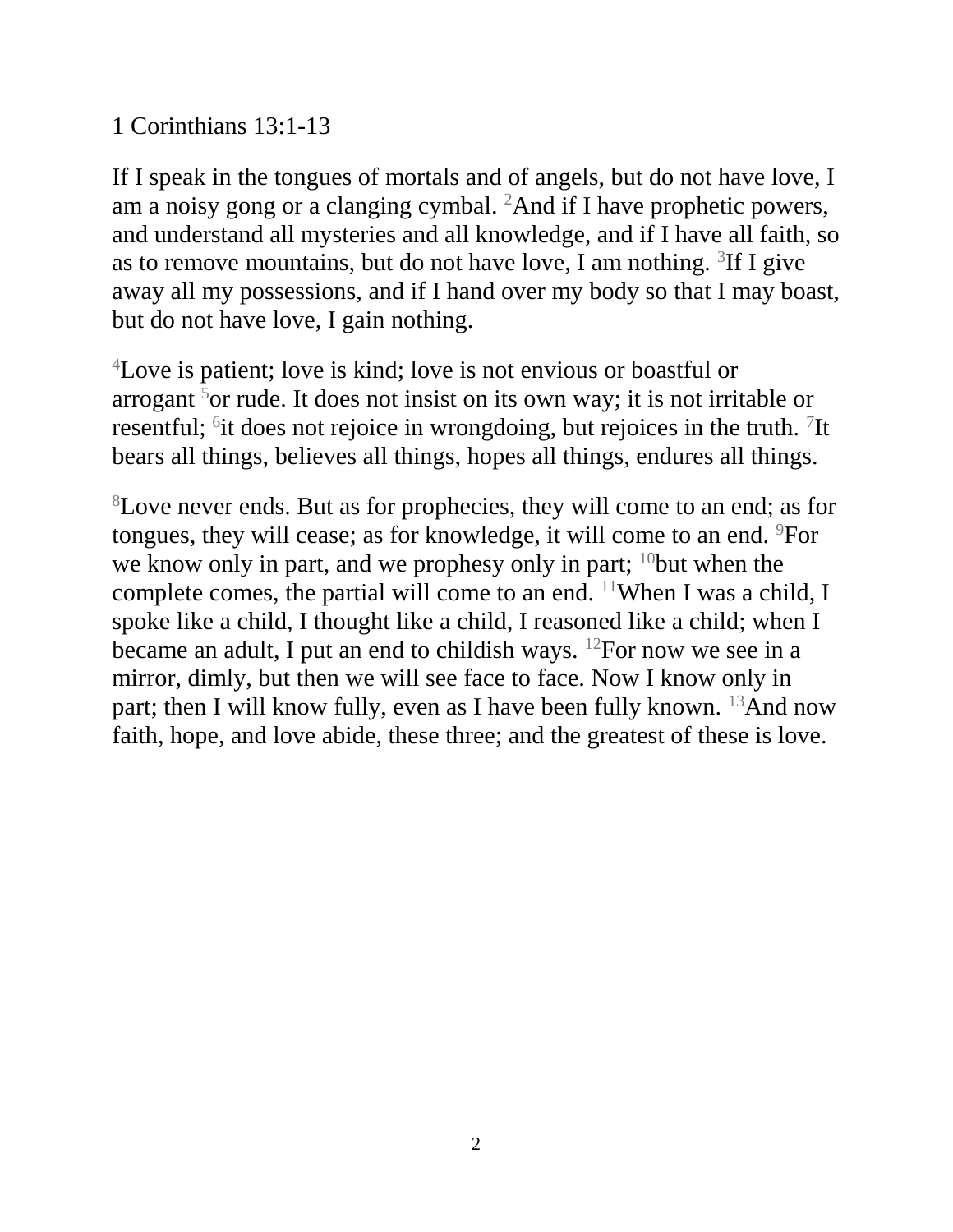## 1 Corinthians 13:1-13

If I speak in the tongues of mortals and of angels, but do not have love, I am a noisy gong or a clanging cymbal. <sup>2</sup>And if I have prophetic powers, and understand all mysteries and all knowledge, and if I have all faith, so as to remove mountains, but do not have love, I am nothing.  ${}^{3}$ If I give away all my possessions, and if I hand over my body so that I may boast, but do not have love, I gain nothing.

<sup>4</sup>Love is patient; love is kind; love is not envious or boastful or arrogant  $5$ or rude. It does not insist on its own way; it is not irritable or resent ful;  $\delta$  it does not rejoice in wrongdoing, but rejoices in the truth.  $\delta$ It bears all things, believes all things, hopes all things, endures all things.

<sup>8</sup>Love never ends. But as for prophecies, they will come to an end; as for tongues, they will cease; as for knowledge, it will come to an end. <sup>9</sup>For we know only in part, and we prophesy only in part;  $10$  but when the complete comes, the partial will come to an end.  $11$ When I was a child, I spoke like a child, I thought like a child, I reasoned like a child; when I became an adult, I put an end to childish ways. <sup>12</sup>For now we see in a mirror, dimly, but then we will see face to face. Now I know only in part; then I will know fully, even as I have been fully known.  $^{13}$ And now faith, hope, and love abide, these three; and the greatest of these is love.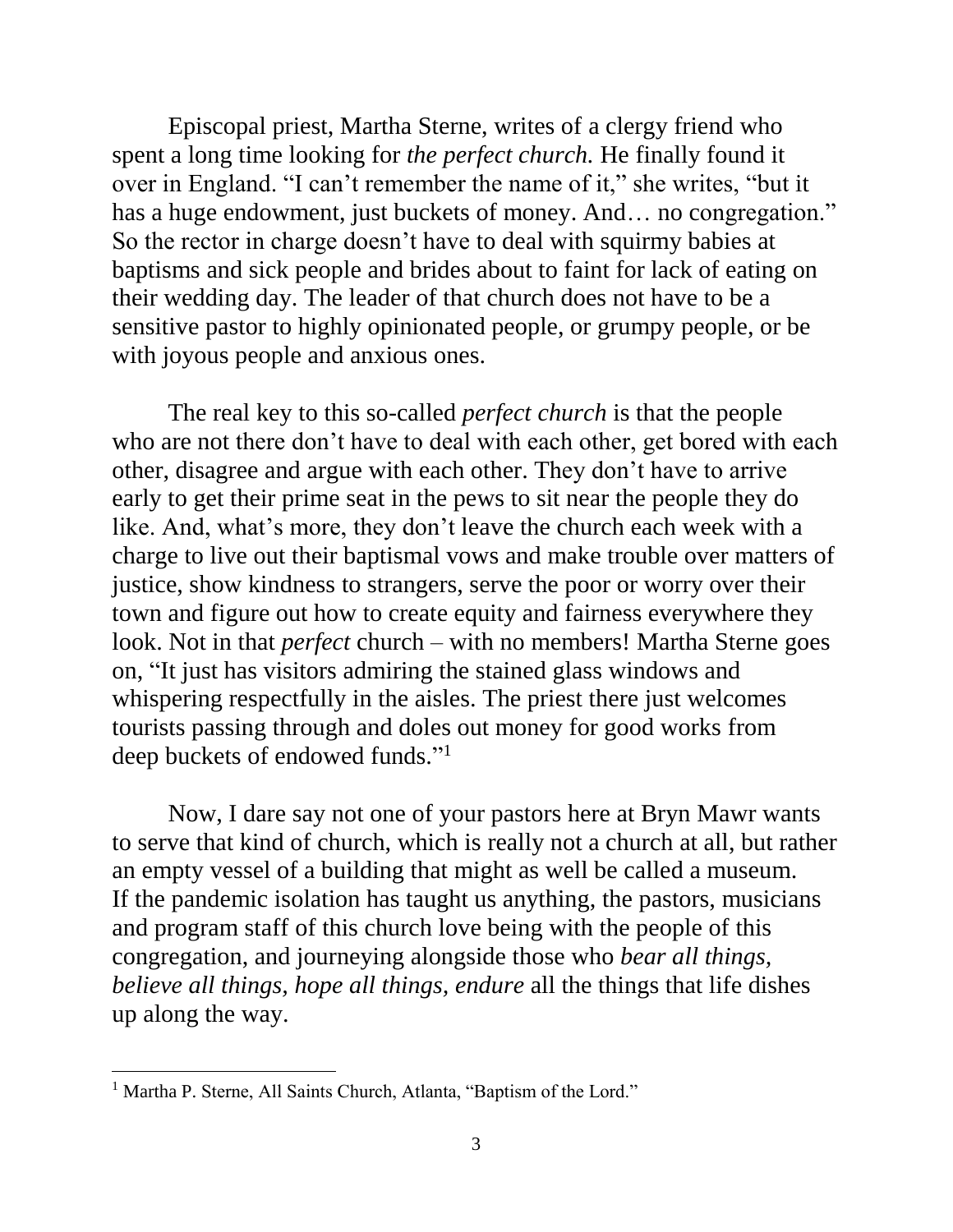Episcopal priest, Martha Sterne, writes of a clergy friend who spent a long time looking for *the perfect church.* He finally found it over in England. "I can't remember the name of it," she writes, "but it has a huge endowment, just buckets of money. And... no congregation." So the rector in charge doesn't have to deal with squirmy babies at baptisms and sick people and brides about to faint for lack of eating on their wedding day. The leader of that church does not have to be a sensitive pastor to highly opinionated people, or grumpy people, or be with joyous people and anxious ones.

 The real key to this so-called *perfect church* is that the people who are not there don't have to deal with each other, get bored with each other, disagree and argue with each other. They don't have to arrive early to get their prime seat in the pews to sit near the people they do like. And, what's more, they don't leave the church each week with a charge to live out their baptismal vows and make trouble over matters of justice, show kindness to strangers, serve the poor or worry over their town and figure out how to create equity and fairness everywhere they look. Not in that *perfect* church – with no members! Martha Sterne goes on, "It just has visitors admiring the stained glass windows and whispering respectfully in the aisles. The priest there just welcomes tourists passing through and doles out money for good works from deep buckets of endowed funds." 1

 Now, I dare say not one of your pastors here at Bryn Mawr wants to serve that kind of church, which is really not a church at all, but rather an empty vessel of a building that might as well be called a museum. If the pandemic isolation has taught us anything, the pastors, musicians and program staff of this church love being with the people of this congregation, and journeying alongside those who *bear all things, believe all things, hope all things, endure* all the things that life dishes up along the way.

 $\overline{a}$ 

<sup>&</sup>lt;sup>1</sup> Martha P. Sterne, All Saints Church, Atlanta, "Baptism of the Lord."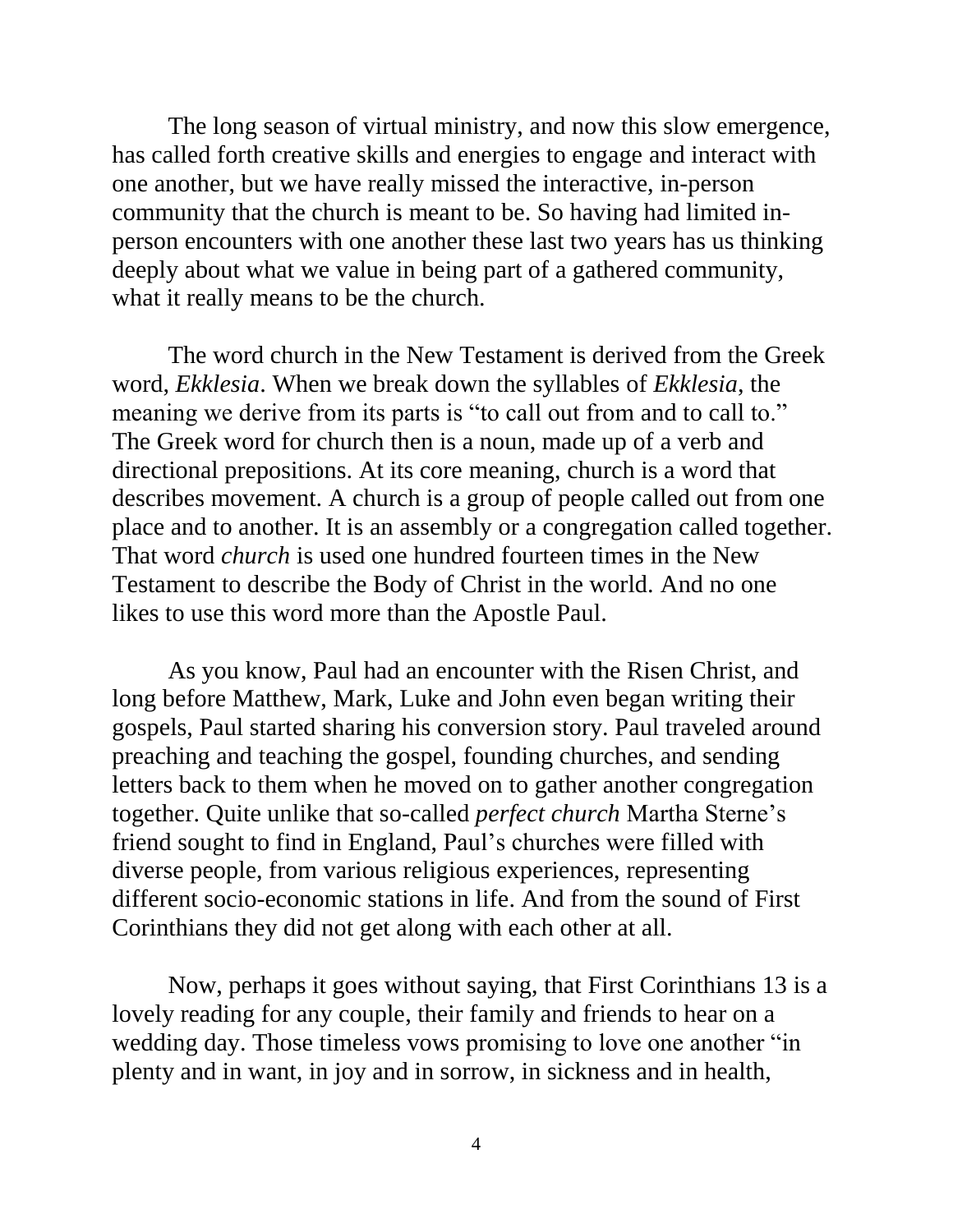The long season of virtual ministry, and now this slow emergence, has called forth creative skills and energies to engage and interact with one another, but we have really missed the interactive, in-person community that the church is meant to be. So having had limited inperson encounters with one another these last two years has us thinking deeply about what we value in being part of a gathered community, what it really means to be the church.

 The word church in the New Testament is derived from the Greek word, *Ekklesia*. When we break down the syllables of *Ekklesia*, the meaning we derive from its parts is "to call out from and to call to." The Greek word for church then is a noun, made up of a verb and directional prepositions. At its core meaning, church is a word that describes movement. A church is a group of people called out from one place and to another. It is an assembly or a congregation called together. That word *church* is used one hundred fourteen times in the New Testament to describe the Body of Christ in the world. And no one likes to use this word more than the Apostle Paul.

 As you know, Paul had an encounter with the Risen Christ, and long before Matthew, Mark, Luke and John even began writing their gospels, Paul started sharing his conversion story. Paul traveled around preaching and teaching the gospel, founding churches, and sending letters back to them when he moved on to gather another congregation together. Quite unlike that so-called *perfect church* Martha Sterne's friend sought to find in England, Paul's churches were filled with diverse people, from various religious experiences, representing different socio-economic stations in life. And from the sound of First Corinthians they did not get along with each other at all.

 Now, perhaps it goes without saying, that First Corinthians 13 is a lovely reading for any couple, their family and friends to hear on a wedding day. Those timeless vows promising to love one another "in plenty and in want, in joy and in sorrow, in sickness and in health,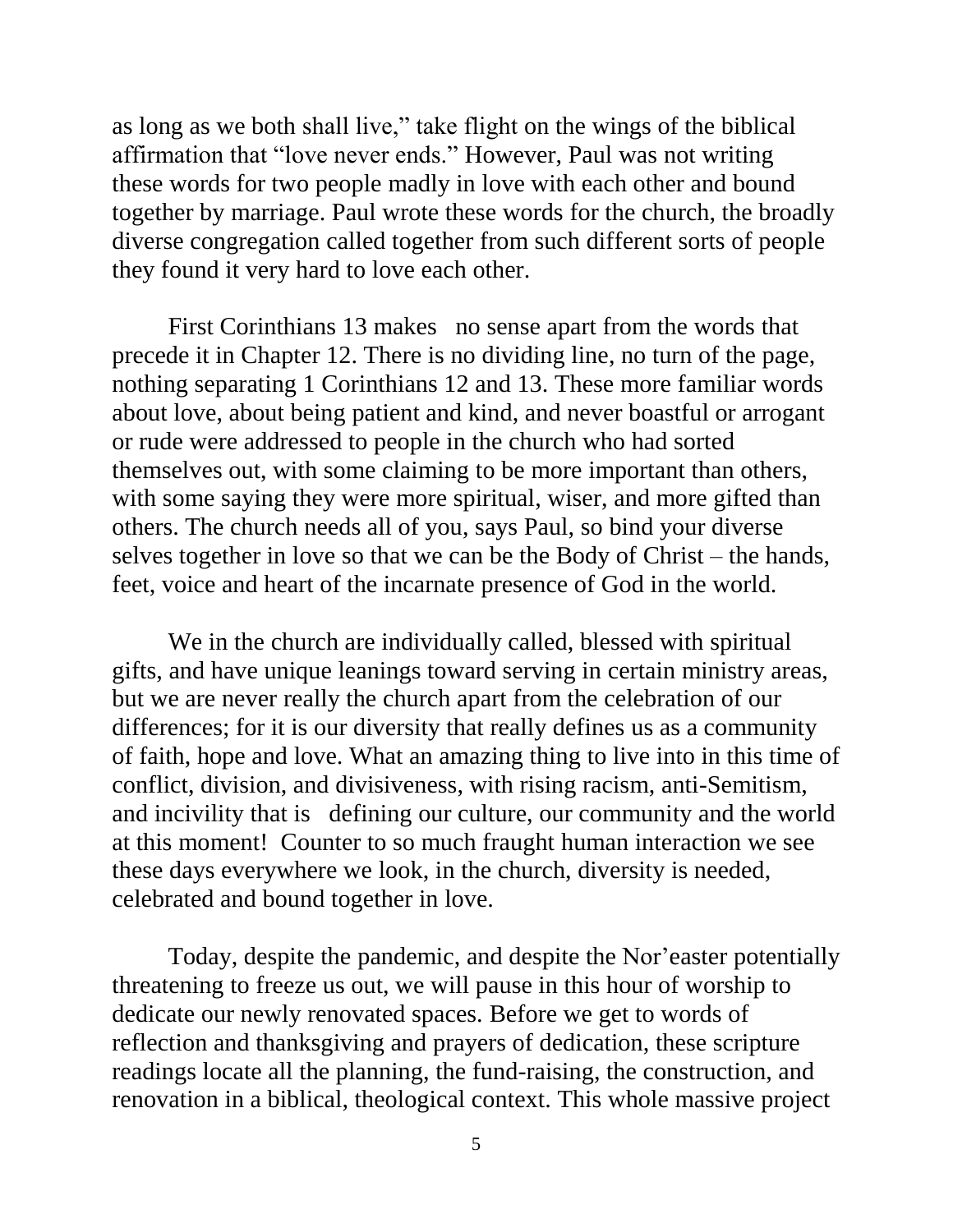as long as we both shall live," take flight on the wings of the biblical affirmation that "love never ends." However, Paul was not writing these words for two people madly in love with each other and bound together by marriage. Paul wrote these words for the church, the broadly diverse congregation called together from such different sorts of people they found it very hard to love each other.

First Corinthians 13 makes no sense apart from the words that precede it in Chapter 12. There is no dividing line, no turn of the page, nothing separating 1 Corinthians 12 and 13. These more familiar words about love, about being patient and kind, and never boastful or arrogant or rude were addressed to people in the church who had sorted themselves out, with some claiming to be more important than others, with some saying they were more spiritual, wiser, and more gifted than others. The church needs all of you, says Paul, so bind your diverse selves together in love so that we can be the Body of Christ – the hands, feet, voice and heart of the incarnate presence of God in the world.

We in the church are individually called, blessed with spiritual gifts, and have unique leanings toward serving in certain ministry areas, but we are never really the church apart from the celebration of our differences; for it is our diversity that really defines us as a community of faith, hope and love. What an amazing thing to live into in this time of conflict, division, and divisiveness, with rising racism, anti-Semitism, and incivility that is defining our culture, our community and the world at this moment! Counter to so much fraught human interaction we see these days everywhere we look, in the church, diversity is needed, celebrated and bound together in love.

Today, despite the pandemic, and despite the Nor'easter potentially threatening to freeze us out, we will pause in this hour of worship to dedicate our newly renovated spaces. Before we get to words of reflection and thanksgiving and prayers of dedication, these scripture readings locate all the planning, the fund-raising, the construction, and renovation in a biblical, theological context. This whole massive project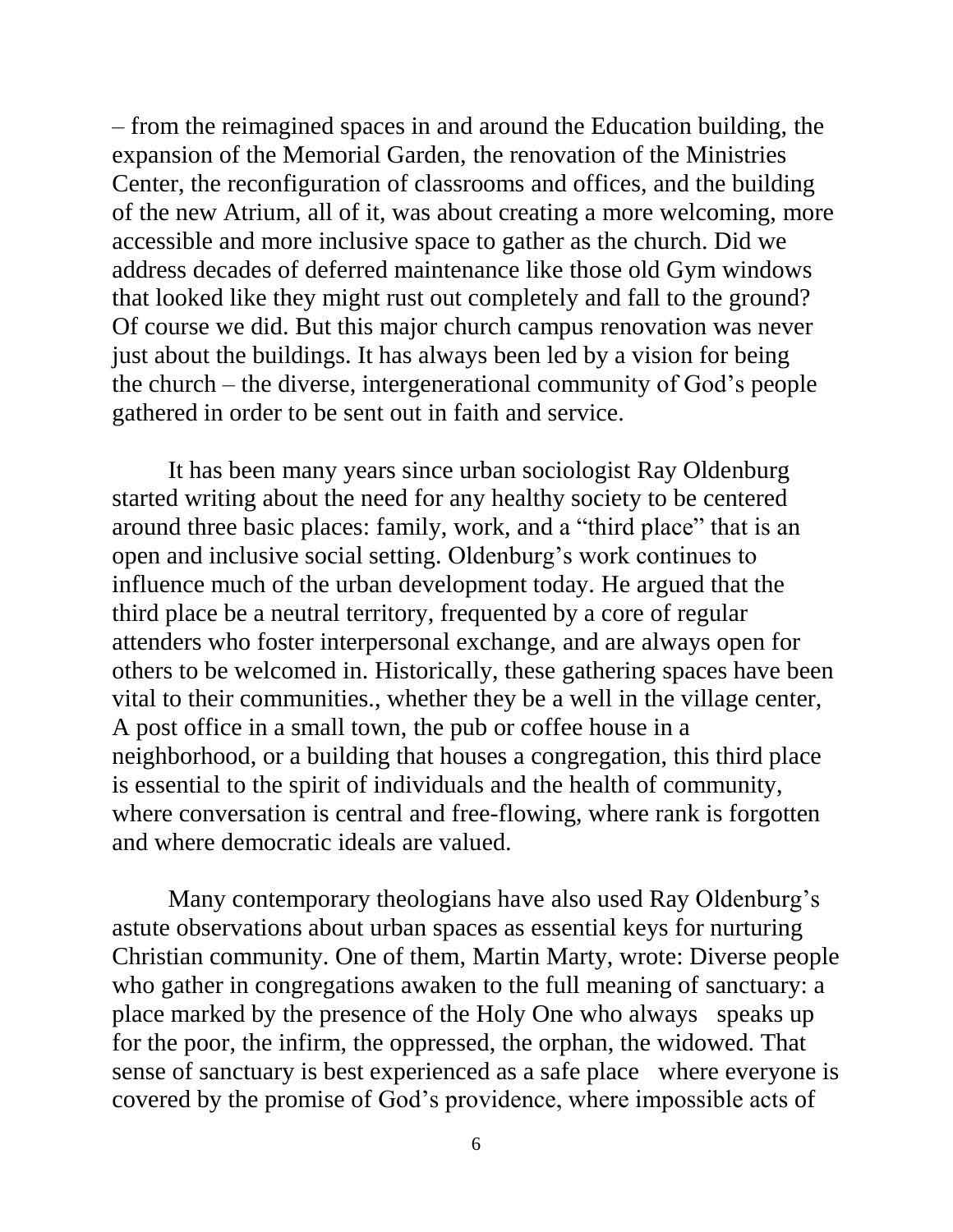– from the reimagined spaces in and around the Education building, the expansion of the Memorial Garden, the renovation of the Ministries Center, the reconfiguration of classrooms and offices, and the building of the new Atrium, all of it, was about creating a more welcoming, more accessible and more inclusive space to gather as the church. Did we address decades of deferred maintenance like those old Gym windows that looked like they might rust out completely and fall to the ground? Of course we did. But this major church campus renovation was never just about the buildings. It has always been led by a vision for being the church – the diverse, intergenerational community of God's people gathered in order to be sent out in faith and service.

 It has been many years since urban sociologist Ray Oldenburg started writing about the need for any healthy society to be centered around three basic places: family, work, and a "third place" that is an open and inclusive social setting. Oldenburg's work continues to influence much of the urban development today. He argued that the third place be a neutral territory, frequented by a core of regular attenders who foster interpersonal exchange, and are always open for others to be welcomed in. Historically, these gathering spaces have been vital to their communities., whether they be a well in the village center, A post office in a small town, the pub or coffee house in a neighborhood, or a building that houses a congregation, this third place is essential to the spirit of individuals and the health of community, where conversation is central and free-flowing, where rank is forgotten and where democratic ideals are valued.

 Many contemporary theologians have also used Ray Oldenburg's astute observations about urban spaces as essential keys for nurturing Christian community. One of them, Martin Marty, wrote: Diverse people who gather in congregations awaken to the full meaning of sanctuary: a place marked by the presence of the Holy One who always speaks up for the poor, the infirm, the oppressed, the orphan, the widowed. That sense of sanctuary is best experienced as a safe place where everyone is covered by the promise of God's providence, where impossible acts of